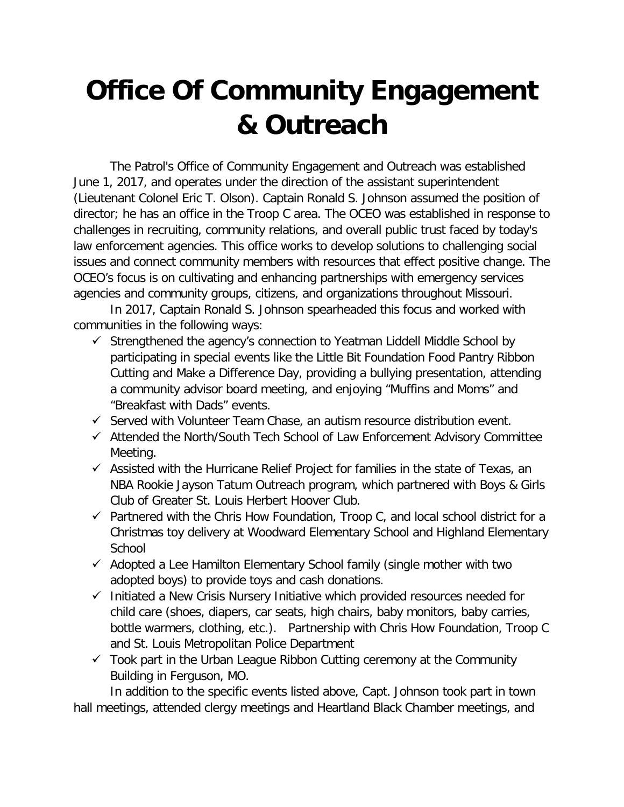## **Office Of Community Engagement & Outreach**

The Patrol's Office of Community Engagement and Outreach was established June 1, 2017, and operates under the direction of the assistant superintendent (Lieutenant Colonel Eric T. Olson). Captain Ronald S. Johnson assumed the position of director; he has an office in the Troop C area. The OCEO was established in response to challenges in recruiting, community relations, and overall public trust faced by today's law enforcement agencies. This office works to develop solutions to challenging social issues and connect community members with resources that effect positive change. The OCEO's focus is on cultivating and enhancing partnerships with emergency services agencies and community groups, citizens, and organizations throughout Missouri.

In 2017, Captain Ronald S. Johnson spearheaded this focus and worked with communities in the following ways:

- $\checkmark$  Strengthened the agency's connection to Yeatman Liddell Middle School by participating in special events like the Little Bit Foundation Food Pantry Ribbon Cutting and Make a Difference Day, providing a bullying presentation, attending a community advisor board meeting, and enjoying "Muffins and Moms" and "Breakfast with Dads" events.
- $\checkmark$  Served with Volunteer Team Chase, an autism resource distribution event.
- $\checkmark$  Attended the North/South Tech School of Law Enforcement Advisory Committee Meeting.
- $\checkmark$  Assisted with the Hurricane Relief Project for families in the state of Texas, an NBA Rookie Jayson Tatum Outreach program, which partnered with Boys & Girls Club of Greater St. Louis Herbert Hoover Club.
- $\checkmark$  Partnered with the Chris How Foundation, Troop C, and local school district for a Christmas toy delivery at Woodward Elementary School and Highland Elementary **School**
- $\checkmark$  Adopted a Lee Hamilton Elementary School family (single mother with two adopted boys) to provide toys and cash donations.
- $\checkmark$  Initiated a New Crisis Nursery Initiative which provided resources needed for child care (shoes, diapers, car seats, high chairs, baby monitors, baby carries, bottle warmers, clothing, etc.). Partnership with Chris How Foundation, Troop C and St. Louis Metropolitan Police Department
- $\checkmark$  Took part in the Urban League Ribbon Cutting ceremony at the Community Building in Ferguson, MO.

In addition to the specific events listed above, Capt. Johnson took part in town hall meetings, attended clergy meetings and Heartland Black Chamber meetings, and